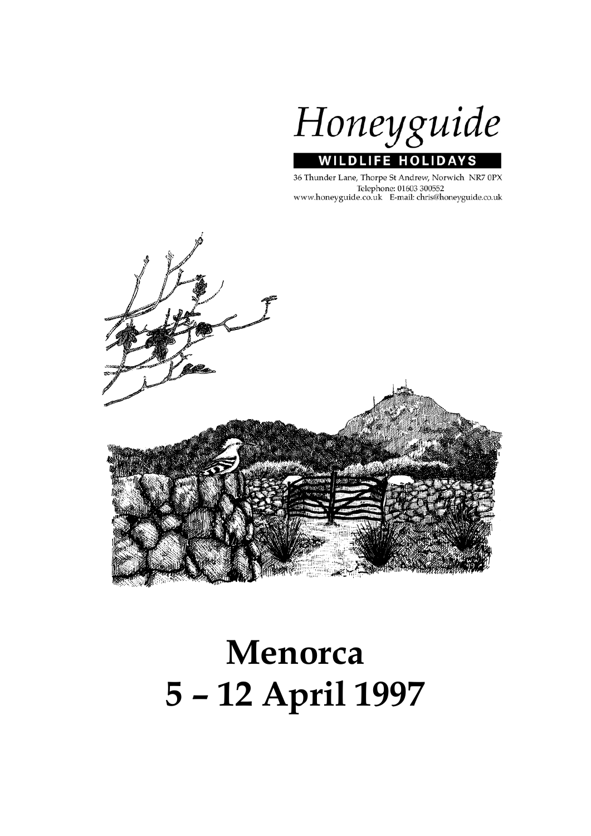

36 Thunder Lane, Thorpe St Andrew, Norwich NR7 0PX Telephone: 01603 300552<br>www.honeyguide.co.uk E-mail: chris@honeyguide.co.uk



# **Menorca 5 – 12 April 1997**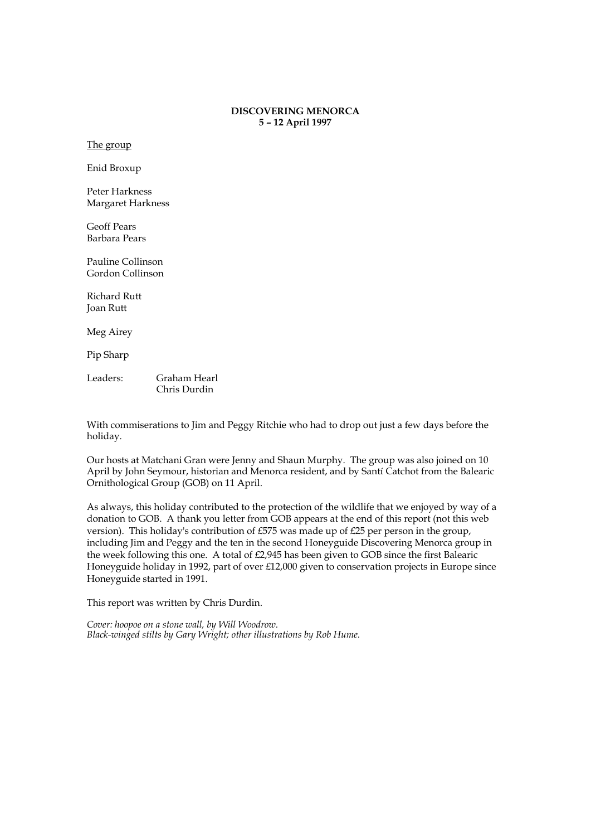#### **DISCOVERING MENORCA 5 – 12 April 1997**

The group

Enid Broxup

Peter Harkness Margaret Harkness

Geoff Pears Barbara Pears

Pauline Collinson Gordon Collinson

Richard Rutt Joan Rutt

Meg Airey

Pip Sharp

Leaders: Graham Hearl Chris Durdin

With commiserations to Jim and Peggy Ritchie who had to drop out just a few days before the holiday.

Our hosts at Matchani Gran were Jenny and Shaun Murphy. The group was also joined on 10 April by John Seymour, historian and Menorca resident, and by Santí Catchot from the Balearic Ornithological Group (GOB) on 11 April.

As always, this holiday contributed to the protection of the wildlife that we enjoyed by way of a donation to GOB. A thank you letter from GOB appears at the end of this report (not this web version). This holiday's contribution of £575 was made up of £25 per person in the group, including Jim and Peggy and the ten in the second Honeyguide Discovering Menorca group in the week following this one. A total of £2,945 has been given to GOB since the first Balearic Honeyguide holiday in 1992, part of over £12,000 given to conservation projects in Europe since Honeyguide started in 1991.

This report was written by Chris Durdin.

*Cover: hoopoe on a stone wall, by Will Woodrow. Black-winged stilts by Gary Wright; other illustrations by Rob Hume.*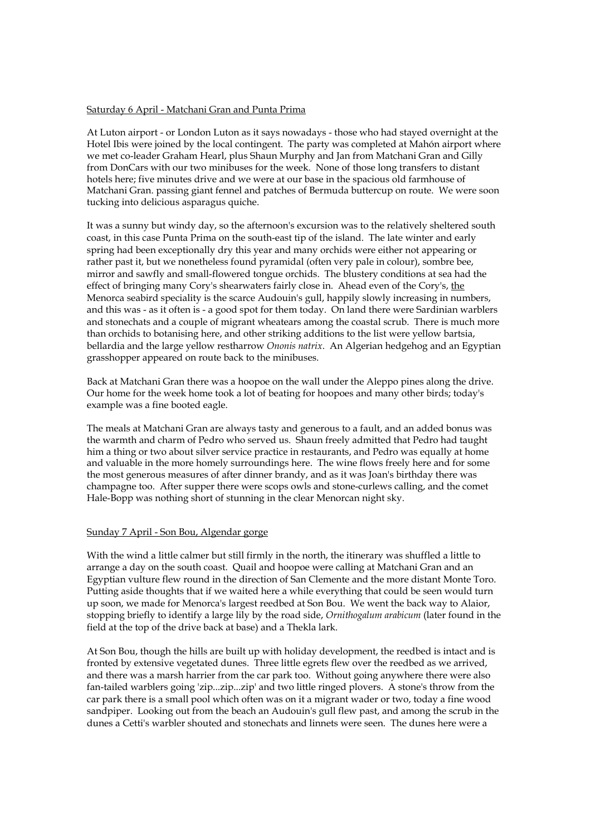### Saturday 6 April - Matchani Gran and Punta Prima

At Luton airport - or London Luton as it says nowadays - those who had stayed overnight at the Hotel Ibis were joined by the local contingent. The party was completed at Mahón airport where we met co-leader Graham Hearl, plus Shaun Murphy and Jan from Matchani Gran and Gilly from DonCars with our two minibuses for the week. None of those long transfers to distant hotels here; five minutes drive and we were at our base in the spacious old farmhouse of Matchani Gran. passing giant fennel and patches of Bermuda buttercup on route. We were soon tucking into delicious asparagus quiche.

It was a sunny but windy day, so the afternoon's excursion was to the relatively sheltered south coast, in this case Punta Prima on the south-east tip of the island. The late winter and early spring had been exceptionally dry this year and many orchids were either not appearing or rather past it, but we nonetheless found pyramidal (often very pale in colour), sombre bee, mirror and sawfly and small-flowered tongue orchids. The blustery conditions at sea had the effect of bringing many Cory's shearwaters fairly close in. Ahead even of the Cory's, the Menorca seabird speciality is the scarce Audouin's gull, happily slowly increasing in numbers, and this was - as it often is - a good spot for them today. On land there were Sardinian warblers and stonechats and a couple of migrant wheatears among the coastal scrub. There is much more than orchids to botanising here, and other striking additions to the list were yellow bartsia, bellardia and the large yellow restharrow *Ononis natrix*. An Algerian hedgehog and an Egyptian grasshopper appeared on route back to the minibuses.

Back at Matchani Gran there was a hoopoe on the wall under the Aleppo pines along the drive. Our home for the week home took a lot of beating for hoopoes and many other birds; today's example was a fine booted eagle.

The meals at Matchani Gran are always tasty and generous to a fault, and an added bonus was the warmth and charm of Pedro who served us. Shaun freely admitted that Pedro had taught him a thing or two about silver service practice in restaurants, and Pedro was equally at home and valuable in the more homely surroundings here. The wine flows freely here and for some the most generous measures of after dinner brandy, and as it was Joan's birthday there was champagne too. After supper there were scops owls and stone-curlews calling, and the comet Hale-Bopp was nothing short of stunning in the clear Menorcan night sky.

#### Sunday 7 April - Son Bou, Algendar gorge

With the wind a little calmer but still firmly in the north, the itinerary was shuffled a little to arrange a day on the south coast. Quail and hoopoe were calling at Matchani Gran and an Egyptian vulture flew round in the direction of San Clemente and the more distant Monte Toro. Putting aside thoughts that if we waited here a while everything that could be seen would turn up soon, we made for Menorca's largest reedbed at Son Bou. We went the back way to Alaior, stopping briefly to identify a large lily by the road side, *Ornithogalum arabicum* (later found in the field at the top of the drive back at base) and a Thekla lark.

At Son Bou, though the hills are built up with holiday development, the reedbed is intact and is fronted by extensive vegetated dunes. Three little egrets flew over the reedbed as we arrived, and there was a marsh harrier from the car park too. Without going anywhere there were also fan-tailed warblers going 'zip...zip...zip' and two little ringed plovers. A stone's throw from the car park there is a small pool which often was on it a migrant wader or two, today a fine wood sandpiper. Looking out from the beach an Audouin's gull flew past, and among the scrub in the dunes a Cetti's warbler shouted and stonechats and linnets were seen. The dunes here were a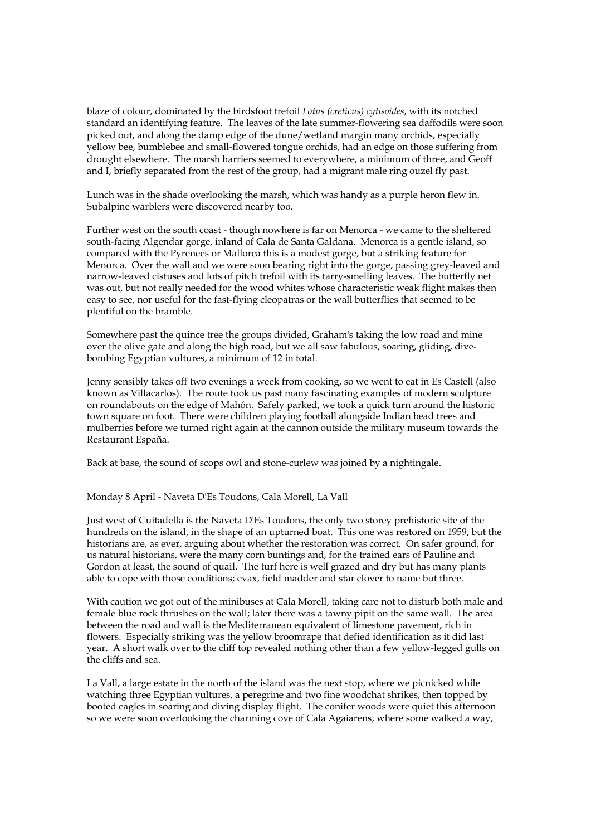blaze of colour, dominated by the birdsfoot trefoil *Lotus (creticus) cytisoides*, with its notched standard an identifying feature. The leaves of the late summer-flowering sea daffodils were soon picked out, and along the damp edge of the dune/wetland margin many orchids, especially yellow bee, bumblebee and small-flowered tongue orchids, had an edge on those suffering from drought elsewhere. The marsh harriers seemed to everywhere, a minimum of three, and Geoff and I, briefly separated from the rest of the group, had a migrant male ring ouzel fly past.

Lunch was in the shade overlooking the marsh, which was handy as a purple heron flew in. Subalpine warblers were discovered nearby too.

Further west on the south coast - though nowhere is far on Menorca - we came to the sheltered south-facing Algendar gorge, inland of Cala de Santa Galdana. Menorca is a gentle island, so compared with the Pyrenees or Mallorca this is a modest gorge, but a striking feature for Menorca. Over the wall and we were soon bearing right into the gorge, passing grey-leaved and narrow-leaved cistuses and lots of pitch trefoil with its tarry-smelling leaves. The butterfly net was out, but not really needed for the wood whites whose characteristic weak flight makes then easy to see, nor useful for the fast-flying cleopatras or the wall butterflies that seemed to be plentiful on the bramble.

Somewhere past the quince tree the groups divided, Graham's taking the low road and mine over the olive gate and along the high road, but we all saw fabulous, soaring, gliding, divebombing Egyptian vultures, a minimum of 12 in total.

Jenny sensibly takes off two evenings a week from cooking, so we went to eat in Es Castell (also known as Villacarlos). The route took us past many fascinating examples of modern sculpture on roundabouts on the edge of Mahón. Safely parked, we took a quick turn around the historic town square on foot. There were children playing football alongside Indian bead trees and mulberries before we turned right again at the cannon outside the military museum towards the Restaurant España.

Back at base, the sound of scops owl and stone-curlew was joined by a nightingale.

#### Monday 8 April - Naveta D'Es Toudons, Cala Morell, La Vall

Just west of Cuitadella is the Naveta D'Es Toudons, the only two storey prehistoric site of the hundreds on the island, in the shape of an upturned boat. This one was restored on 1959, but the historians are, as ever, arguing about whether the restoration was correct. On safer ground, for us natural historians, were the many corn buntings and, for the trained ears of Pauline and Gordon at least, the sound of quail. The turf here is well grazed and dry but has many plants able to cope with those conditions; evax, field madder and star clover to name but three.

With caution we got out of the minibuses at Cala Morell, taking care not to disturb both male and female blue rock thrushes on the wall; later there was a tawny pipit on the same wall. The area between the road and wall is the Mediterranean equivalent of limestone pavement, rich in flowers. Especially striking was the yellow broomrape that defied identification as it did last year. A short walk over to the cliff top revealed nothing other than a few yellow-legged gulls on the cliffs and sea.

La Vall, a large estate in the north of the island was the next stop, where we picnicked while watching three Egyptian vultures, a peregrine and two fine woodchat shrikes, then topped by booted eagles in soaring and diving display flight. The conifer woods were quiet this afternoon so we were soon overlooking the charming cove of Cala Agaiarens, where some walked a way,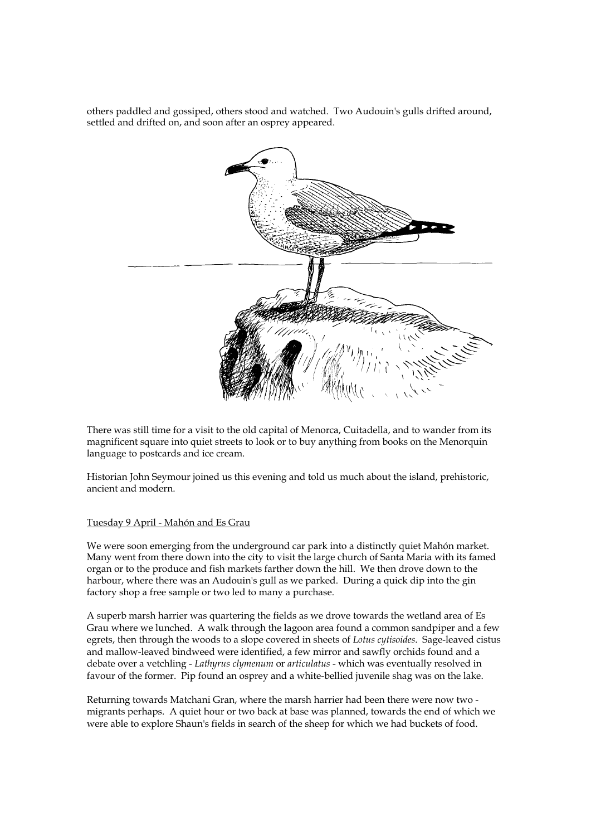others paddled and gossiped, others stood and watched. Two Audouin's gulls drifted around, settled and drifted on, and soon after an osprey appeared.



There was still time for a visit to the old capital of Menorca, Cuitadella, and to wander from its magnificent square into quiet streets to look or to buy anything from books on the Menorquin language to postcards and ice cream.

Historian John Seymour joined us this evening and told us much about the island, prehistoric, ancient and modern.

#### Tuesday 9 April - Mahón and Es Grau

We were soon emerging from the underground car park into a distinctly quiet Mahón market. Many went from there down into the city to visit the large church of Santa Maria with its famed organ or to the produce and fish markets farther down the hill. We then drove down to the harbour, where there was an Audouin's gull as we parked. During a quick dip into the gin factory shop a free sample or two led to many a purchase.

A superb marsh harrier was quartering the fields as we drove towards the wetland area of Es Grau where we lunched. A walk through the lagoon area found a common sandpiper and a few egrets, then through the woods to a slope covered in sheets of *Lotus cytisoides*. Sage-leaved cistus and mallow-leaved bindweed were identified, a few mirror and sawfly orchids found and a debate over a vetchling - *Lathyrus clymenum* or *articulatus* - which was eventually resolved in favour of the former. Pip found an osprey and a white-bellied juvenile shag was on the lake.

Returning towards Matchani Gran, where the marsh harrier had been there were now two migrants perhaps. A quiet hour or two back at base was planned, towards the end of which we were able to explore Shaun's fields in search of the sheep for which we had buckets of food.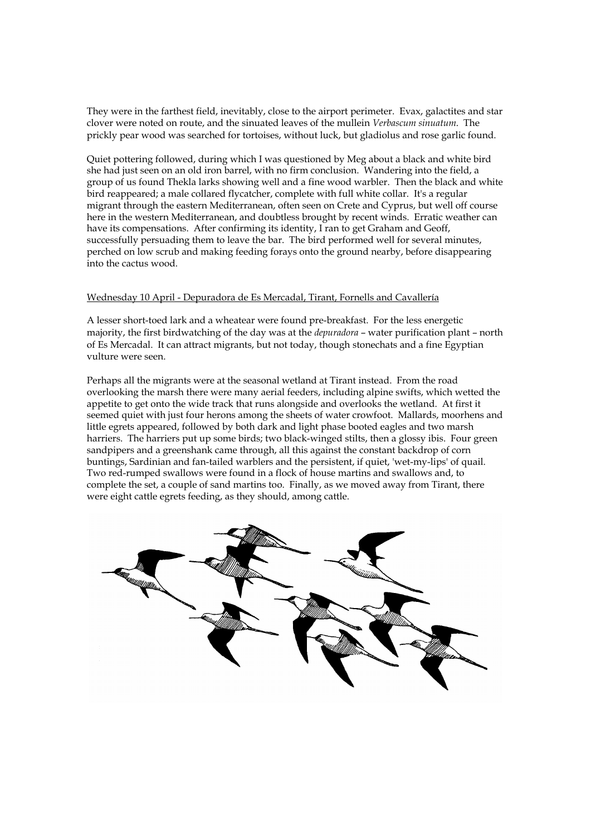They were in the farthest field, inevitably, close to the airport perimeter. Evax, galactites and star clover were noted on route, and the sinuated leaves of the mullein *Verbascum sinuatum*. The prickly pear wood was searched for tortoises, without luck, but gladiolus and rose garlic found.

Quiet pottering followed, during which I was questioned by Meg about a black and white bird she had just seen on an old iron barrel, with no firm conclusion. Wandering into the field, a group of us found Thekla larks showing well and a fine wood warbler. Then the black and white bird reappeared; a male collared flycatcher, complete with full white collar. It's a regular migrant through the eastern Mediterranean, often seen on Crete and Cyprus, but well off course here in the western Mediterranean, and doubtless brought by recent winds. Erratic weather can have its compensations. After confirming its identity, I ran to get Graham and Geoff, successfully persuading them to leave the bar. The bird performed well for several minutes, perched on low scrub and making feeding forays onto the ground nearby, before disappearing into the cactus wood.

#### Wednesday 10 April - Depuradora de Es Mercadal, Tirant, Fornells and Cavallería

A lesser short-toed lark and a wheatear were found pre-breakfast. For the less energetic majority, the first birdwatching of the day was at the *depuradora* – water purification plant – north of Es Mercadal. It can attract migrants, but not today, though stonechats and a fine Egyptian vulture were seen.

Perhaps all the migrants were at the seasonal wetland at Tirant instead. From the road overlooking the marsh there were many aerial feeders, including alpine swifts, which wetted the appetite to get onto the wide track that runs alongside and overlooks the wetland. At first it seemed quiet with just four herons among the sheets of water crowfoot. Mallards, moorhens and little egrets appeared, followed by both dark and light phase booted eagles and two marsh harriers. The harriers put up some birds; two black-winged stilts, then a glossy ibis. Four green sandpipers and a greenshank came through, all this against the constant backdrop of corn buntings, Sardinian and fan-tailed warblers and the persistent, if quiet, 'wet-my-lips' of quail. Two red-rumped swallows were found in a flock of house martins and swallows and, to complete the set, a couple of sand martins too. Finally, as we moved away from Tirant, there were eight cattle egrets feeding, as they should, among cattle.

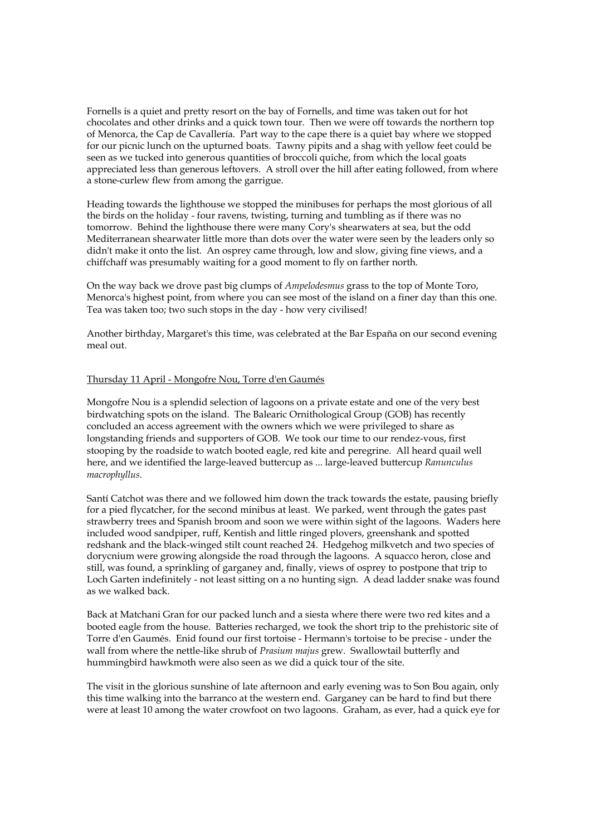Fornells is a quiet and pretty resort on the bay of Fornells, and time was taken out for hot chocolates and other drinks and a quick town tour. Then we were off towards the northern top of Menorca, the Cap de Cavallería. Part way to the cape there is a quiet bay where we stopped for our picnic lunch on the upturned boats. Tawny pipits and a shag with yellow feet could be seen as we tucked into generous quantities of broccoli quiche, from which the local goats appreciated less than generous leftovers. A stroll over the hill after eating followed, from where a stone-curlew flew from among the garrigue.

Heading towards the lighthouse we stopped the minibuses for perhaps the most glorious of all the birds on the holiday - four ravens, twisting, turning and tumbling as if there was no tomorrow. Behind the lighthouse there were many Cory's shearwaters at sea, but the odd Mediterranean shearwater little more than dots over the water were seen by the leaders only so didn't make it onto the list. An osprey came through, low and slow, giving fine views, and a chiffchaff was presumably waiting for a good moment to fly on farther north.

On the way back we drove past big clumps of *Ampelodesmus* grass to the top of Monte Toro, Menorca's highest point, from where you can see most of the island on a finer day than this one. Tea was taken too; two such stops in the day - how very civilised!

Another birthday, Margaret's this time, was celebrated at the Bar España on our second evening meal out.

#### Thursday 11 April - Mongofre Nou, Torre d'en Gaumés

Mongofre Nou is a splendid selection of lagoons on a private estate and one of the very best birdwatching spots on the island. The Balearic Ornithological Group (GOB) has recently concluded an access agreement with the owners which we were privileged to share as longstanding friends and supporters of GOB. We took our time to our rendez-vous, first stooping by the roadside to watch booted eagle, red kite and peregrine. All heard quail well here, and we identified the large-leaved buttercup as ... large-leaved buttercup *Ranunculus macrophyllus*.

Santí Catchot was there and we followed him down the track towards the estate, pausing briefly for a pied flycatcher, for the second minibus at least. We parked, went through the gates past strawberry trees and Spanish broom and soon we were within sight of the lagoons. Waders here included wood sandpiper, ruff, Kentish and little ringed plovers, greenshank and spotted redshank and the black-winged stilt count reached 24. Hedgehog milkvetch and two species of dorycnium were growing alongside the road through the lagoons. A squacco heron, close and still, was found, a sprinkling of garganey and, finally, views of osprey to postpone that trip to Loch Garten indefinitely - not least sitting on a no hunting sign. A dead ladder snake was found as we walked back.

Back at Matchani Gran for our packed lunch and a siesta where there were two red kites and a booted eagle from the house. Batteries recharged, we took the short trip to the prehistoric site of Torre d'en Gaumés. Enid found our first tortoise - Hermann's tortoise to be precise - under the wall from where the nettle-like shrub of *Prasium majus* grew. Swallowtail butterfly and hummingbird hawkmoth were also seen as we did a quick tour of the site.

The visit in the glorious sunshine of late afternoon and early evening was to Son Bou again, only this time walking into the barranco at the western end. Garganey can be hard to find but there were at least 10 among the water crowfoot on two lagoons. Graham, as ever, had a quick eye for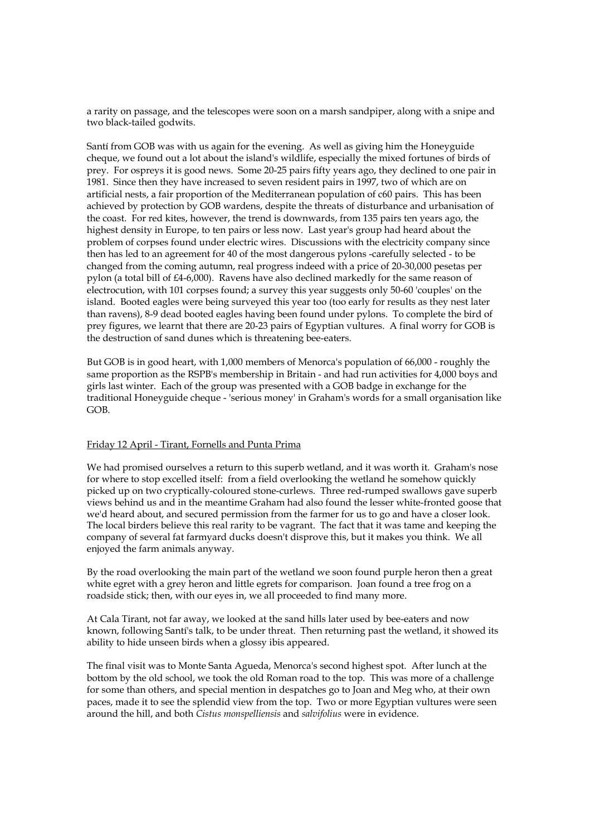a rarity on passage, and the telescopes were soon on a marsh sandpiper, along with a snipe and two black-tailed godwits.

Santí from GOB was with us again for the evening. As well as giving him the Honeyguide cheque, we found out a lot about the island's wildlife, especially the mixed fortunes of birds of prey. For ospreys it is good news. Some 20-25 pairs fifty years ago, they declined to one pair in 1981. Since then they have increased to seven resident pairs in 1997, two of which are on artificial nests, a fair proportion of the Mediterranean population of c60 pairs. This has been achieved by protection by GOB wardens, despite the threats of disturbance and urbanisation of the coast. For red kites, however, the trend is downwards, from 135 pairs ten years ago, the highest density in Europe, to ten pairs or less now. Last year's group had heard about the problem of corpses found under electric wires. Discussions with the electricity company since then has led to an agreement for 40 of the most dangerous pylons -carefully selected - to be changed from the coming autumn, real progress indeed with a price of 20-30,000 pesetas per pylon (a total bill of £4-6,000). Ravens have also declined markedly for the same reason of electrocution, with 101 corpses found; a survey this year suggests only 50-60 'couples' on the island. Booted eagles were being surveyed this year too (too early for results as they nest later than ravens), 8-9 dead booted eagles having been found under pylons. To complete the bird of prey figures, we learnt that there are 20-23 pairs of Egyptian vultures. A final worry for GOB is the destruction of sand dunes which is threatening bee-eaters.

But GOB is in good heart, with 1,000 members of Menorca's population of 66,000 - roughly the same proportion as the RSPB's membership in Britain - and had run activities for 4,000 boys and girls last winter. Each of the group was presented with a GOB badge in exchange for the traditional Honeyguide cheque - 'serious money' in Graham's words for a small organisation like GOB.

#### Friday 12 April - Tirant, Fornells and Punta Prima

We had promised ourselves a return to this superb wetland, and it was worth it. Graham's nose for where to stop excelled itself: from a field overlooking the wetland he somehow quickly picked up on two cryptically-coloured stone-curlews. Three red-rumped swallows gave superb views behind us and in the meantime Graham had also found the lesser white-fronted goose that we'd heard about, and secured permission from the farmer for us to go and have a closer look. The local birders believe this real rarity to be vagrant. The fact that it was tame and keeping the company of several fat farmyard ducks doesn't disprove this, but it makes you think. We all enjoyed the farm animals anyway.

By the road overlooking the main part of the wetland we soon found purple heron then a great white egret with a grey heron and little egrets for comparison. Joan found a tree frog on a roadside stick; then, with our eyes in, we all proceeded to find many more.

At Cala Tirant, not far away, we looked at the sand hills later used by bee-eaters and now known, following Santí's talk, to be under threat. Then returning past the wetland, it showed its ability to hide unseen birds when a glossy ibis appeared.

The final visit was to Monte Santa Agueda, Menorca's second highest spot. After lunch at the bottom by the old school, we took the old Roman road to the top. This was more of a challenge for some than others, and special mention in despatches go to Joan and Meg who, at their own paces, made it to see the splendid view from the top. Two or more Egyptian vultures were seen around the hill, and both *Cistus monspelliensis* and *salvifolius* were in evidence.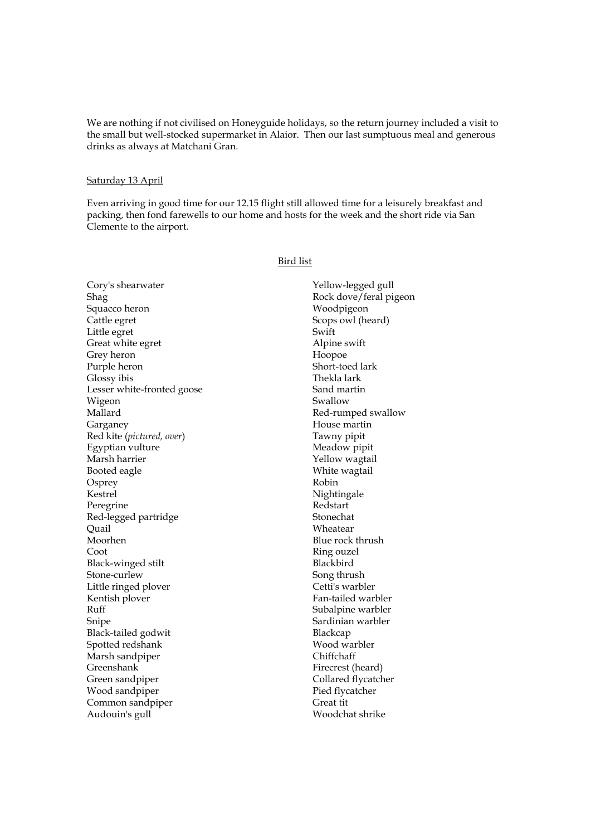We are nothing if not civilised on Honeyguide holidays, so the return journey included a visit to the small but well-stocked supermarket in Alaior. Then our last sumptuous meal and generous drinks as always at Matchani Gran.

#### Saturday 13 April

Even arriving in good time for our 12.15 flight still allowed time for a leisurely breakfast and packing, then fond farewells to our home and hosts for the week and the short ride via San Clemente to the airport.

#### Bird list

Cory's shearwater Shag Squacco heron Cattle egret Little egret Great white egret Grey heron Purple heron Glossy ibis Lesser white-fronted goose Wigeon Mallard Garganey Red kite (*pictured, over*) Egyptian vulture Marsh harrier Booted eagle **Osprey** Kestrel Peregrine Red-legged partridge **Ouail** Moorhen Coot Black-winged stilt Stone-curlew Little ringed plover Kentish plover Ruff Snipe Black-tailed godwit Spotted redshank Marsh sandpiper Greenshank Green sandpiper Wood sandpiper Common sandpiper Audouin's gull

Yellow-legged gull Rock dove/feral pigeon Woodpigeon Scops owl (heard) Swift Alpine swift Hoopoe Short-toed lark Thekla lark Sand martin Swallow Red-rumped swallow House martin Tawny pipit Meadow pipit Yellow wagtail White wagtail Robin Nightingale Redstart Stonechat Wheatear Blue rock thrush Ring ouzel Blackbird Song thrush Cetti's warbler Fan-tailed warbler Subalpine warbler Sardinian warbler Blackcap Wood warbler Chiffchaff Firecrest (heard) Collared flycatcher Pied flycatcher Great tit Woodchat shrike